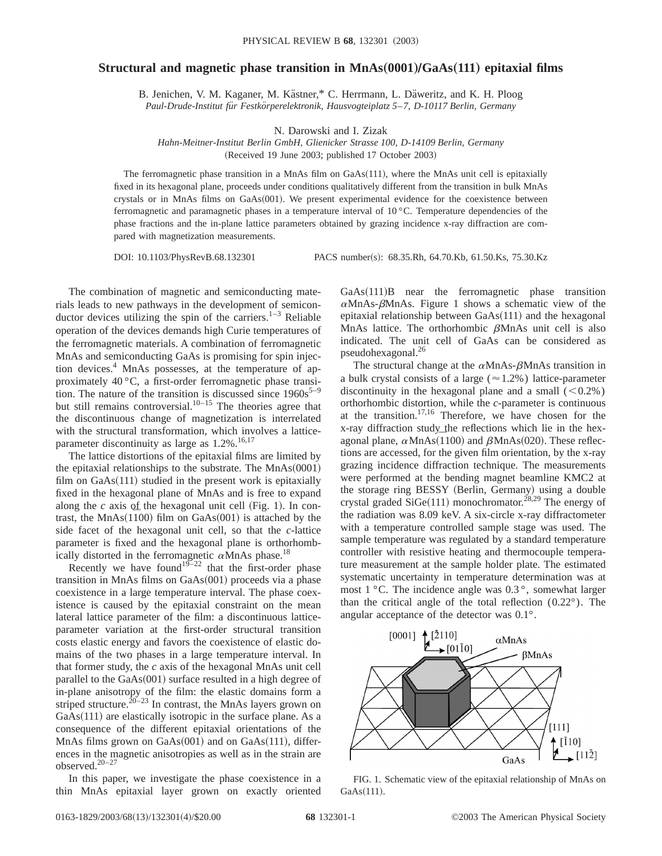## **Structural and magnetic phase transition in MnAs** $(0001)/GaAs(111)$  **epitaxial films**

B. Jenichen, V. M. Kaganer, M. Kästner,\* C. Herrmann, L. Däweritz, and K. H. Ploog *Paul-Drude-Institut fu¨r Festko¨rperelektronik, Hausvogteiplatz 5*–*7, D-10117 Berlin, Germany*

N. Darowski and I. Zizak

*Hahn-Meitner-Institut Berlin GmbH, Glienicker Strasse 100, D-14109 Berlin, Germany* (Received 19 June 2003; published 17 October 2003)

The ferromagnetic phase transition in a MnAs film on  $GaAs(111)$ , where the MnAs unit cell is epitaxially fixed in its hexagonal plane, proceeds under conditions qualitatively different from the transition in bulk MnAs crystals or in MnAs films on  $GaAs(001)$ . We present experimental evidence for the coexistence between ferromagnetic and paramagnetic phases in a temperature interval of 10 °C. Temperature dependencies of the phase fractions and the in-plane lattice parameters obtained by grazing incidence x-ray diffraction are compared with magnetization measurements.

DOI: 10.1103/PhysRevB.68.132301 PACS number(s): 68.35.Rh, 64.70.Kb, 61.50.Ks, 75.30.Kz

The combination of magnetic and semiconducting materials leads to new pathways in the development of semiconductor devices utilizing the spin of the carriers.<sup>1–3</sup> Reliable operation of the devices demands high Curie temperatures of the ferromagnetic materials. A combination of ferromagnetic MnAs and semiconducting GaAs is promising for spin injection devices.4 MnAs possesses, at the temperature of approximately 40 °C, a first-order ferromagnetic phase transition. The nature of the transition is discussed since  $1960s^{5-9}$ but still remains controversial. $10^{-15}$  The theories agree that the discontinuous change of magnetization is interrelated with the structural transformation, which involves a latticeparameter discontinuity as large as  $1.2\%$ .<sup>16,17</sup>

The lattice distortions of the epitaxial films are limited by the epitaxial relationships to the substrate. The  $MnAs(0001)$ film on  $GaAs(111)$  studied in the present work is epitaxially fixed in the hexagonal plane of MnAs and is free to expand along the  $c$  axis of the hexagonal unit cell (Fig. 1). In contrast, the  $MnAs(1100)$  film on  $GaAs(001)$  is attached by the side facet of the hexagonal unit cell, so that the *c*-lattice parameter is fixed and the hexagonal plane is orthorhombically distorted in the ferromagnetic  $\alpha$ MnAs phase.<sup>18</sup>

Recently we have found<sup>19–22</sup> that the first-order phase transition in MnAs films on  $GaAs(001)$  proceeds via a phase coexistence in a large temperature interval. The phase coexistence is caused by the epitaxial constraint on the mean lateral lattice parameter of the film: a discontinuous latticeparameter variation at the first-order structural transition costs elastic energy and favors the coexistence of elastic domains of the two phases in a large temperature interval. In that former study, the *c* axis of the hexagonal MnAs unit cell parallel to the  $GaAs(001)$  surface resulted in a high degree of in-plane anisotropy of the film: the elastic domains form a striped structure.<sup>20–23</sup> In contrast, the MnAs layers grown on  $GaAs(111)$  are elastically isotropic in the surface plane. As a consequence of the different epitaxial orientations of the MnAs films grown on  $GaAs(001)$  and on  $GaAs(111)$ , differences in the magnetic anisotropies as well as in the strain are observed.20–27

In this paper, we investigate the phase coexistence in a thin MnAs epitaxial layer grown on exactly oriented  $GaAs(111)B$  near the ferromagnetic phase transition  $\alpha$ MnAs- $\beta$ MnAs. Figure 1 shows a schematic view of the epitaxial relationship between  $GaAs(111)$  and the hexagonal MnAs lattice. The orthorhombic  $\beta$ MnAs unit cell is also indicated. The unit cell of GaAs can be considered as pseudohexagonal.26

The structural change at the  $\alpha$ MnAs- $\beta$ MnAs transition in a bulk crystal consists of a large ( $\approx$  1.2%) lattice-parameter discontinuity in the hexagonal plane and a small  $(< 0.2\%)$ orthorhombic distortion, while the *c*-parameter is continuous at the transition.17,16 Therefore, we have chosen for the x-ray diffraction study the reflections which lie in the hexx-ray diffraction study the reflections which he in the nex-<br>agonal plane,  $\alpha$ MnAs $(1100)$  and  $\beta$ MnAs $(020)$ . These reflections are accessed, for the given film orientation, by the x-ray grazing incidence diffraction technique. The measurements were performed at the bending magnet beamline KMC2 at the storage ring BESSY (Berlin, Germany) using a double crystal graded SiGe $(111)$  monochromator.<sup>28,29</sup> The energy of the radiation was 8.09 keV. A six-circle x-ray diffractometer with a temperature controlled sample stage was used. The sample temperature was regulated by a standard temperature controller with resistive heating and thermocouple temperature measurement at the sample holder plate. The estimated systematic uncertainty in temperature determination was at most 1 °C. The incidence angle was 0.3 °, somewhat larger than the critical angle of the total reflection (0.22°). The angular acceptance of the detector was 0.1°.



FIG. 1. Schematic view of the epitaxial relationship of MnAs on  $GaAs(111).$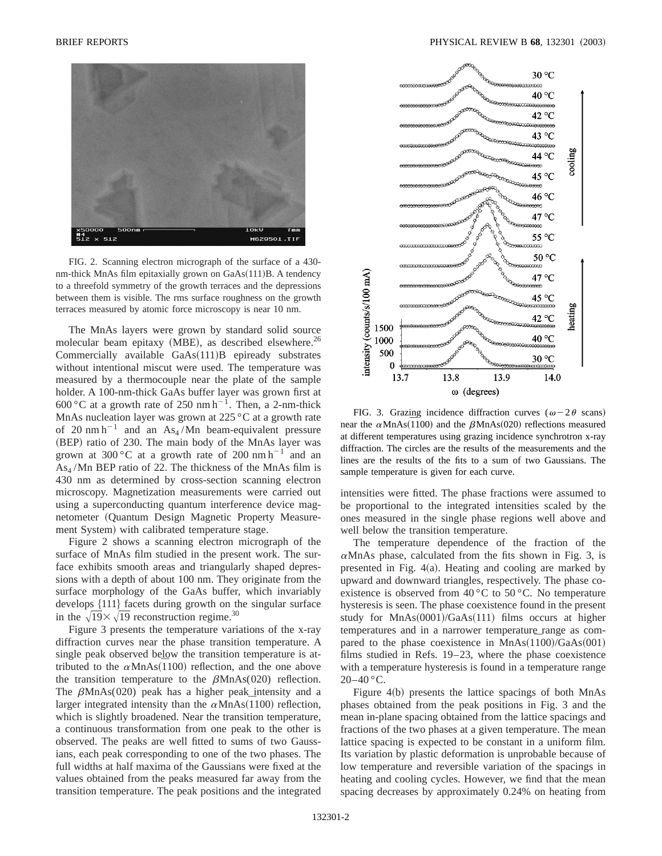

FIG. 2. Scanning electron micrograph of the surface of a 430 nm-thick MnAs film epitaxially grown on  $GaAs(111)B$ . A tendency to a threefold symmetry of the growth terraces and the depressions between them is visible. The rms surface roughness on the growth terraces measured by atomic force microscopy is near 10 nm.

The MnAs layers were grown by standard solid source molecular beam epitaxy  $(MBE)$ , as described elsewhere.<sup>26</sup> Commercially available  $GaAs(111)B$  epiready substrates without intentional miscut were used. The temperature was measured by a thermocouple near the plate of the sample holder. A 100-nm-thick GaAs buffer layer was grown first at 600 °C at a growth rate of 250 nm h<sup>-1</sup>. Then, a 2-nm-thick MnAs nucleation layer was grown at 225 °C at a growth rate of 20 nm h<sup>-1</sup> and an As<sub>4</sub>/Mn beam-equivalent pressure (BEP) ratio of 230. The main body of the MnAs layer was grown at 300 °C at a growth rate of 200 nm  $h^{-1}$  and an  $As<sub>4</sub>$ /Mn BEP ratio of 22. The thickness of the MnAs film is 430 nm as determined by cross-section scanning electron microscopy. Magnetization measurements were carried out using a superconducting quantum interference device magnetometer (Quantum Design Magnetic Property Measurement System) with calibrated temperature stage.

Figure 2 shows a scanning electron micrograph of the surface of MnAs film studied in the present work. The surface exhibits smooth areas and triangularly shaped depressions with a depth of about 100 nm. They originate from the surface morphology of the GaAs buffer, which invariably develops  $\{111\}$  facets during growth on the singular surface in the  $\sqrt{19} \times \sqrt{19}$  reconstruction regime.<sup>30</sup>

Figure 3 presents the temperature variations of the x-ray diffraction curves near the phase transition temperature. A single peak observed below the transition temperature is atsingle peak observed below the transition temperature is at-<br>tributed to the  $\alpha$ MnAs( $\overline{1}100$ ) reflection, and the one above the transition temperature to the  $\beta$ MnAs(020) reflection. The  $\beta$ MnAs(020) peak has a higher peak intensity and a The *pwinAs*(020) peak has a higher peak intensity and a larger integrated intensity than the  $\alpha$ MnAs(1100) reflection, which is slightly broadened. Near the transition temperature, a continuous transformation from one peak to the other is observed. The peaks are well fitted to sums of two Gaussians, each peak corresponding to one of the two phases. The full widths at half maxima of the Gaussians were fixed at the values obtained from the peaks measured far away from the transition temperature. The peak positions and the integrated



FIG. 3. Grazing incidence diffraction curves ( $\omega$ -2 $\theta$  scans) FIG. 5. Grazing includence dimaction curves ( $\omega$  20 scalis)<br>near the  $\alpha$ MnAs(1100) and the  $\beta$ MnAs(020) reflections measured at different temperatures using grazing incidence synchrotron x-ray diffraction. The circles are the results of the measurements and the lines are the results of the fits to a sum of two Gaussians. The sample temperature is given for each curve.

intensities were fitted. The phase fractions were assumed to be proportional to the integrated intensities scaled by the ones measured in the single phase regions well above and well below the transition temperature.

The temperature dependence of the fraction of the  $\alpha$ MnAs phase, calculated from the fits shown in Fig. 3, is presented in Fig.  $4(a)$ . Heating and cooling are marked by upward and downward triangles, respectively. The phase coexistence is observed from  $40^{\circ}$ C to  $50^{\circ}$ C. No temperature hysteresis is seen. The phase coexistence found in the present study for  $MnAs(0001)/GaAs(111)$  films occurs at higher temperatures and in a narrower temperature range as compared to the phase coexistence in  $MnAs(1100)/GaAs(001)$ films studied in Refs. 19–23, where the phase coexistence with a temperature hysteresis is found in a temperature range  $20-40$  °C.

Figure  $4(b)$  presents the lattice spacings of both MnAs phases obtained from the peak positions in Fig. 3 and the mean in-plane spacing obtained from the lattice spacings and fractions of the two phases at a given temperature. The mean lattice spacing is expected to be constant in a uniform film. Its variation by plastic deformation is unprobable because of low temperature and reversible variation of the spacings in heating and cooling cycles. However, we find that the mean spacing decreases by approximately 0.24% on heating from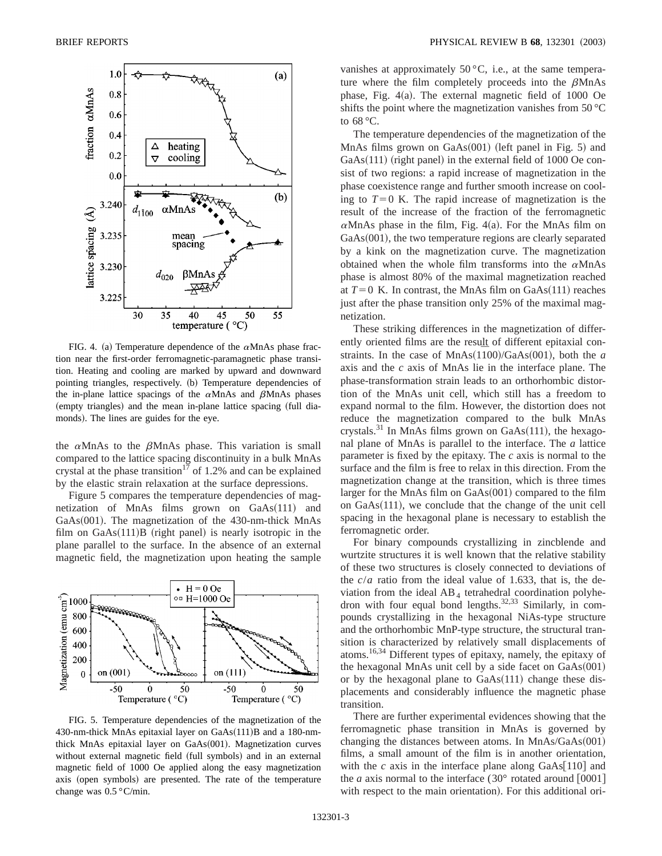

FIG. 4. (a) Temperature dependence of the  $\alpha$ MnAs phase fraction near the first-order ferromagnetic-paramagnetic phase transition. Heating and cooling are marked by upward and downward pointing triangles, respectively. (b) Temperature dependencies of the in-plane lattice spacings of the  $\alpha$ MnAs and  $\beta$ MnAs phases (empty triangles) and the mean in-plane lattice spacing (full diamonds). The lines are guides for the eye.

the  $\alpha$ MnAs to the  $\beta$ MnAs phase. This variation is small compared to the lattice spacing discontinuity in a bulk MnAs crystal at the phase transition<sup>17</sup> of 1.2% and can be explained by the elastic strain relaxation at the surface depressions.

Figure 5 compares the temperature dependencies of magnetization of MnAs films grown on  $GaAs(111)$  and  $GaAs(001)$ . The magnetization of the 430-nm-thick MnAs film on  $GaAs(111)B$  (right panel) is nearly isotropic in the plane parallel to the surface. In the absence of an external magnetic field, the magnetization upon heating the sample



FIG. 5. Temperature dependencies of the magnetization of the 430-nm-thick MnAs epitaxial layer on  $GaAs(111)B$  and a 180-nmthick MnAs epitaxial layer on  $GaAs(001)$ . Magnetization curves without external magnetic field (full symbols) and in an external magnetic field of 1000 Oe applied along the easy magnetization axis (open symbols) are presented. The rate of the temperature change was 0.5 °C/min.

vanishes at approximately  $50^{\circ}$ C, i.e., at the same temperature where the film completely proceeds into the  $\beta$ MnAs phase, Fig.  $4(a)$ . The external magnetic field of 1000 Oe shifts the point where the magnetization vanishes from 50 °C to 68 °C.

The temperature dependencies of the magnetization of the MnAs films grown on  $GaAs(001)$  (left panel in Fig. 5) and  $GaAs(111)$  (right panel) in the external field of 1000 Oe consist of two regions: a rapid increase of magnetization in the phase coexistence range and further smooth increase on cooling to  $T=0$  K. The rapid increase of magnetization is the result of the increase of the fraction of the ferromagnetic  $\alpha$ MnAs phase in the film, Fig. 4(a). For the MnAs film on  $GaAs(001)$ , the two temperature regions are clearly separated by a kink on the magnetization curve. The magnetization obtained when the whole film transforms into the  $\alpha$ MnAs phase is almost 80% of the maximal magnetization reached at  $T=0$  K. In contrast, the MnAs film on GaAs $(111)$  reaches just after the phase transition only 25% of the maximal magnetization.

These striking differences in the magnetization of differently oriented films are the result of different epitaxial constraints. In the case of  $MnAs(1100)/GaAs(001)$ , both the *a* axis and the *c* axis of MnAs lie in the interface plane. The phase-transformation strain leads to an orthorhombic distortion of the MnAs unit cell, which still has a freedom to expand normal to the film. However, the distortion does not reduce the magnetization compared to the bulk MnAs crystals.<sup>31</sup> In MnAs films grown on GaAs $(111)$ , the hexagonal plane of MnAs is parallel to the interface. The *a* lattice parameter is fixed by the epitaxy. The *c* axis is normal to the surface and the film is free to relax in this direction. From the magnetization change at the transition, which is three times larger for the MnAs film on  $GaAs(001)$  compared to the film on  $GaAs(111)$ , we conclude that the change of the unit cell spacing in the hexagonal plane is necessary to establish the ferromagnetic order.

For binary compounds crystallizing in zincblende and wurtzite structures it is well known that the relative stability of these two structures is closely connected to deviations of the  $c/a$  ratio from the ideal value of 1.633, that is, the deviation from the ideal  $AB_4$  tetrahedral coordination polyhedron with four equal bond lengths. $32,33$  Similarly, in compounds crystallizing in the hexagonal NiAs-type structure and the orthorhombic MnP-type structure, the structural transition is characterized by relatively small displacements of atoms.16,34 Different types of epitaxy, namely, the epitaxy of the hexagonal MnAs unit cell by a side facet on  $GaAs(001)$ or by the hexagonal plane to  $GaAs(111)$  change these displacements and considerably influence the magnetic phase transition.

There are further experimental evidences showing that the ferromagnetic phase transition in MnAs is governed by changing the distances between atoms. In  $MnAs/GaAs(001)$ films, a small amount of the film is in another orientation, with the  $c$  axis in the interface plane along  $GaAs[110]$  and the *a* axis normal to the interface  $(30^{\circ}$  rotated around  $[0001]$ with respect to the main orientation). For this additional ori